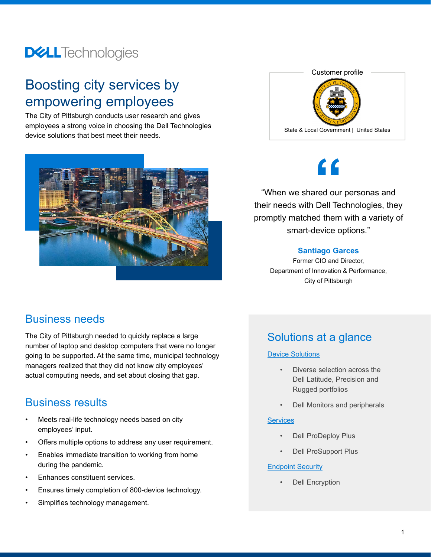## **DELL**Technologies

## Boosting city services by empowering employees

The City of Pittsburgh conducts user research and gives employees a strong voice in choosing the Dell Technologies device solutions that best meet their needs.





## **"**

"When we shared our personas and their needs with Dell Technologies, they promptly matched them with a variety of smart-device options."

#### **Santiago Garces**

Former CIO and Director, Department of Innovation & Performance, City of Pittsburgh

#### Business needs

The City of Pittsburgh needed to quickly replace a large number of laptop and desktop computers that were no longer going to be supported. At the same time, municipal technology managers realized that they did not know city employees' actual computing needs, and set about closing that gap.

### Business results

- Meets real-life technology needs based on city employees' input.
- Offers multiple options to address any user requirement.
- Enables immediate transition to working from home during the pandemic.
- Enhances constituent services.
- Ensures timely completion of 800-device technology.
- Simplifies technology management.

## Solutions at a glance

#### [Device Solutions](https://www.delltechnologies.com/en-us/work-at-full-speed/index.htm)

- Diverse selection across the Dell Latitude, Precision and Rugged portfolios
- Dell Monitors and peripherals

#### **[Services](https://www.delltechnologies.com/en-us/services/index.htm)**

- Dell ProDeploy Plus
- Dell ProSupport Plus

#### **[Endpoint Security](https://www.delltechnologies.com/en-us/endpointsecurity/data-security.htm?gacd=9684689-1037-5761040-265942859-0&dgc=st&&gclid=CjwKCAjwiOv7BRBREiwAXHbv3JZDweWwhfyxZMMo146fNQT7gsH-nlUMMcDRauBn35xzXhuYxs8iXxoCdi4QAvD_BwE&gclsrc=aw.ds#scroll=off)**

**Dell Encryption**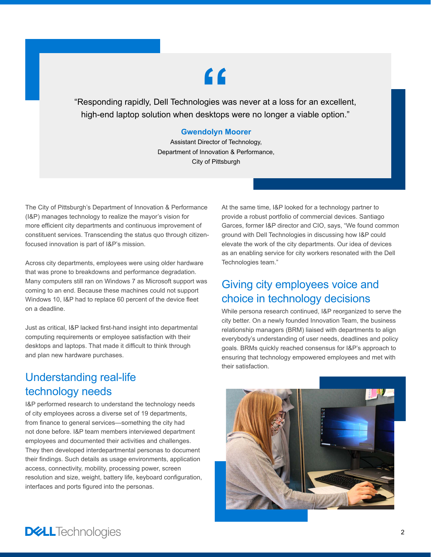# **"**

"Responding rapidly, Dell Technologies was never at a loss for an excellent, high-end laptop solution when desktops were no longer a viable option."

#### **Gwendolyn Moorer**

Assistant Director of Technology, Department of Innovation & Performance, City of Pittsburgh

The City of Pittsburgh's Department of Innovation & Performance (I&P) manages technology to realize the mayor's vision for more efficient city departments and continuous improvement of constituent services. Transcending the status quo through citizenfocused innovation is part of I&P's mission.

Across city departments, employees were using older hardware that was prone to breakdowns and performance degradation. Many computers still ran on Windows 7 as Microsoft support was coming to an end. Because these machines could not support Windows 10, I&P had to replace 60 percent of the device fleet on a deadline.

Just as critical, I&P lacked first-hand insight into departmental computing requirements or employee satisfaction with their desktops and laptops. That made it difficult to think through and plan new hardware purchases.

### Understanding real-life technology needs

I&P performed research to understand the technology needs of city employees across a diverse set of 19 departments, from finance to general services—something the city had not done before. I&P team members interviewed department employees and documented their activities and challenges. They then developed interdepartmental personas to document their findings. Such details as usage environments, application access, connectivity, mobility, processing power, screen resolution and size, weight, battery life, keyboard configuration, interfaces and ports figured into the personas.

At the same time, I&P looked for a technology partner to provide a robust portfolio of commercial devices. Santiago Garces, former I&P director and CIO, says, "We found common ground with Dell Technologies in discussing how I&P could elevate the work of the city departments. Our idea of devices as an enabling service for city workers resonated with the Dell Technologies team."

## Giving city employees voice and choice in technology decisions

While persona research continued, I&P reorganized to serve the city better. On a newly founded Innovation Team, the business relationship managers (BRM) liaised with departments to align everybody's understanding of user needs, deadlines and policy goals. BRMs quickly reached consensus for I&P's approach to ensuring that technology empowered employees and met with their satisfaction.



## **DELL**Technologies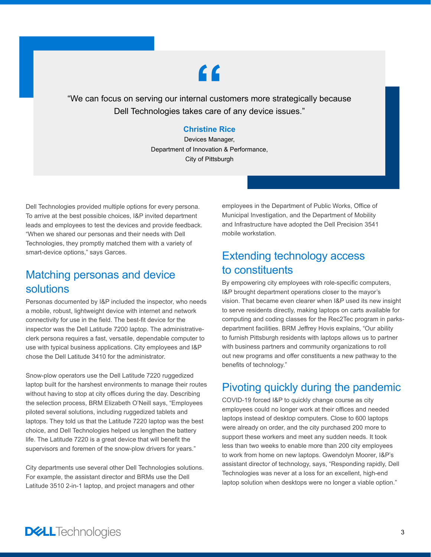# **"**

"We can focus on serving our internal customers more strategically because Dell Technologies takes care of any device issues."

#### **Christine Rice**

Devices Manager, Department of Innovation & Performance, City of Pittsburgh

Dell Technologies provided multiple options for every persona. To arrive at the best possible choices, I&P invited department leads and employees to test the devices and provide feedback. "When we shared our personas and their needs with Dell Technologies, they promptly matched them with a variety of smart-device options," says Garces.

### Matching personas and device solutions

Personas documented by I&P included the inspector, who needs a mobile, robust, lightweight device with internet and network connectivity for use in the field. The best-fit device for the inspector was the Dell Latitude 7200 laptop. The administrativeclerk persona requires a fast, versatile, dependable computer to use with typical business applications. City employees and I&P chose the Dell Latitude 3410 for the administrator.

Snow-plow operators use the Dell Latitude 7220 ruggedized laptop built for the harshest environments to manage their routes without having to stop at city offices during the day. Describing the selection process, BRM Elizabeth O'Neill says, "Employees piloted several solutions, including ruggedized tablets and laptops. They told us that the Latitude 7220 laptop was the best choice, and Dell Technologies helped us lengthen the battery life. The Latitude 7220 is a great device that will benefit the supervisors and foremen of the snow-plow drivers for years."

City departments use several other Dell Technologies solutions. For example, the assistant director and BRMs use the Dell Latitude 3510 2-in-1 laptop, and project managers and other

employees in the Department of Public Works, Office of Municipal Investigation, and the Department of Mobility and Infrastructure have adopted the Dell Precision 3541 mobile workstation.

## Extending technology access to constituents

By empowering city employees with role-specific computers, I&P brought department operations closer to the mayor's vision. That became even clearer when I&P used its new insight to serve residents directly, making laptops on carts available for computing and coding classes for the Rec2Tec program in parksdepartment facilities. BRM Jeffrey Hovis explains, "Our ability to furnish Pittsburgh residents with laptops allows us to partner with business partners and community organizations to roll out new programs and offer constituents a new pathway to the benefits of technology."

### Pivoting quickly during the pandemic

COVID-19 forced I&P to quickly change course as city employees could no longer work at their offices and needed laptops instead of desktop computers. Close to 600 laptops were already on order, and the city purchased 200 more to support these workers and meet any sudden needs. It took less than two weeks to enable more than 200 city employees to work from home on new laptops. Gwendolyn Moorer, I&P's assistant director of technology, says, "Responding rapidly, Dell Technologies was never at a loss for an excellent, high-end laptop solution when desktops were no longer a viable option."